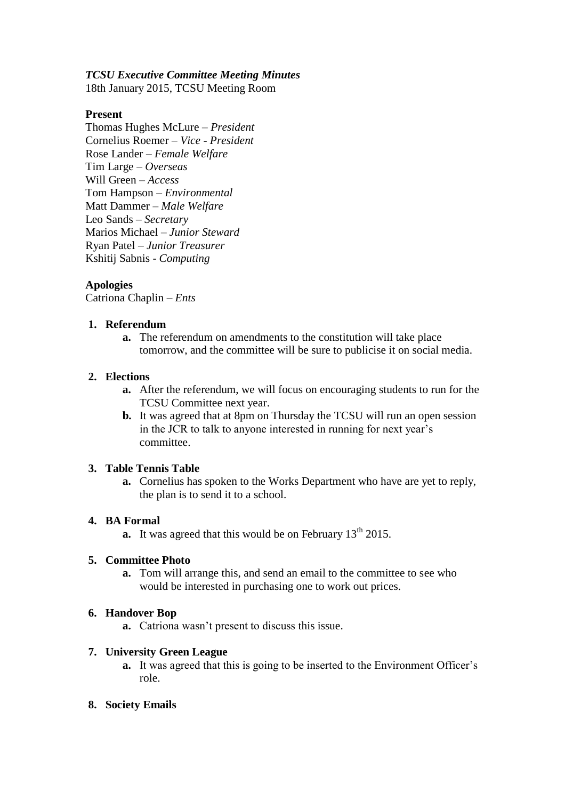## *TCSU Executive Committee Meeting Minutes*

18th January 2015, TCSU Meeting Room

## **Present**

Thomas Hughes McLure – *President* Cornelius Roemer – *Vice - President* Rose Lander – *Female Welfare* Tim Large – *Overseas* Will Green – *Access* Tom Hampson – *Environmental* Matt Dammer – *Male Welfare* Leo Sands – *Secretary* Marios Michael – *Junior Steward* Ryan Patel – *Junior Treasurer* Kshitij Sabnis - *Computing*

# **Apologies**

Catriona Chaplin – *Ents*

# **1. Referendum**

**a.** The referendum on amendments to the constitution will take place tomorrow, and the committee will be sure to publicise it on social media.

### **2. Elections**

- **a.** After the referendum, we will focus on encouraging students to run for the TCSU Committee next year.
- **b.** It was agreed that at 8pm on Thursday the TCSU will run an open session in the JCR to talk to anyone interested in running for next year's committee.

### **3. Table Tennis Table**

**a.** Cornelius has spoken to the Works Department who have are yet to reply, the plan is to send it to a school.

### **4. BA Formal**

**a.** It was agreed that this would be on February  $13<sup>th</sup> 2015$ .

### **5. Committee Photo**

**a.** Tom will arrange this, and send an email to the committee to see who would be interested in purchasing one to work out prices.

### **6. Handover Bop**

**a.** Catriona wasn't present to discuss this issue.

### **7. University Green League**

- **a.** It was agreed that this is going to be inserted to the Environment Officer's role.
- **8. Society Emails**